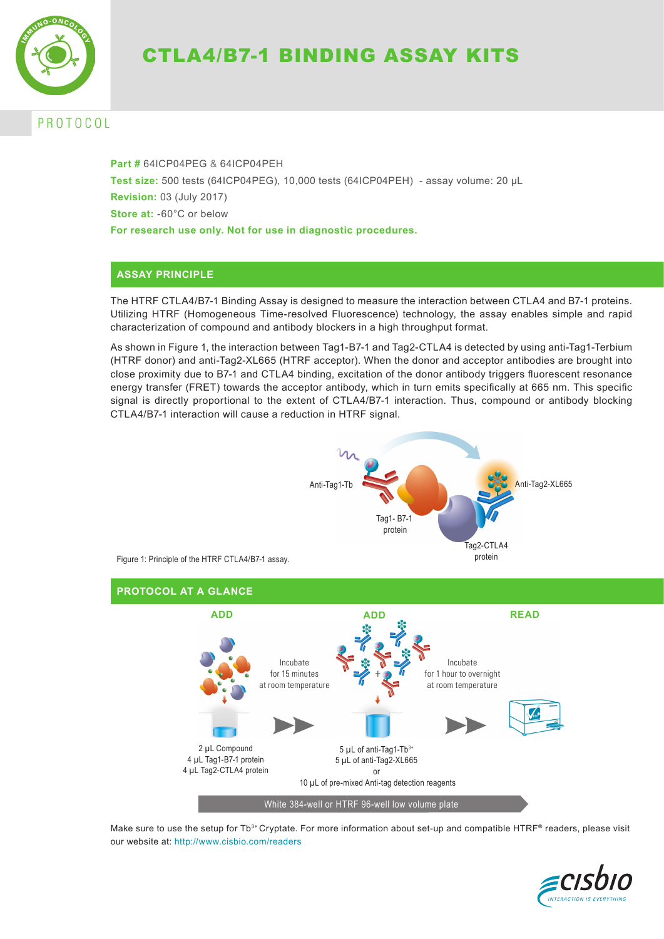

# CTLA4/B7-1 BINDING ASSAY KITS

## P R O T O C O L

**Part #** 64ICP04PEG & 64ICP04PEH **Test size:** 500 tests (64ICP04PEG), 10,000 tests (64ICP04PEH) - assay volume: 20 µL **Revision:** 03 (July 2017) **Store at:** -60°C or below **For research use only. Not for use in diagnostic procedures.**

### **ASSAY PRINCIPLE**

The HTRF CTLA4/B7-1 Binding Assay is designed to measure the interaction between CTLA4 and B7-1 proteins. Utilizing HTRF (Homogeneous Time-resolved Fluorescence) technology, the assay enables simple and rapid characterization of compound and antibody blockers in a high throughput format.

As shown in Figure 1, the interaction between Tag1-B7-1 and Tag2-CTLA4 is detected by using anti-Tag1-Terbium (HTRF donor) and anti-Tag2-XL665 (HTRF acceptor). When the donor and acceptor antibodies are brought into close proximity due to B7-1 and CTLA4 binding, excitation of the donor antibody triggers fluorescent resonance energy transfer (FRET) towards the acceptor antibody, which in turn emits specifically at 665 nm. This specific signal is directly proportional to the extent of CTLA4/B7-1 interaction. Thus, compound or antibody blocking CTLA4/B7-1 interaction will cause a reduction in HTRF signal.



Make sure to use the setup for Tb<sup>3+</sup> Cryptate. For more information about set-up and compatible HTRF® readers, please visit our website at: http://www.cisbio.com/readers

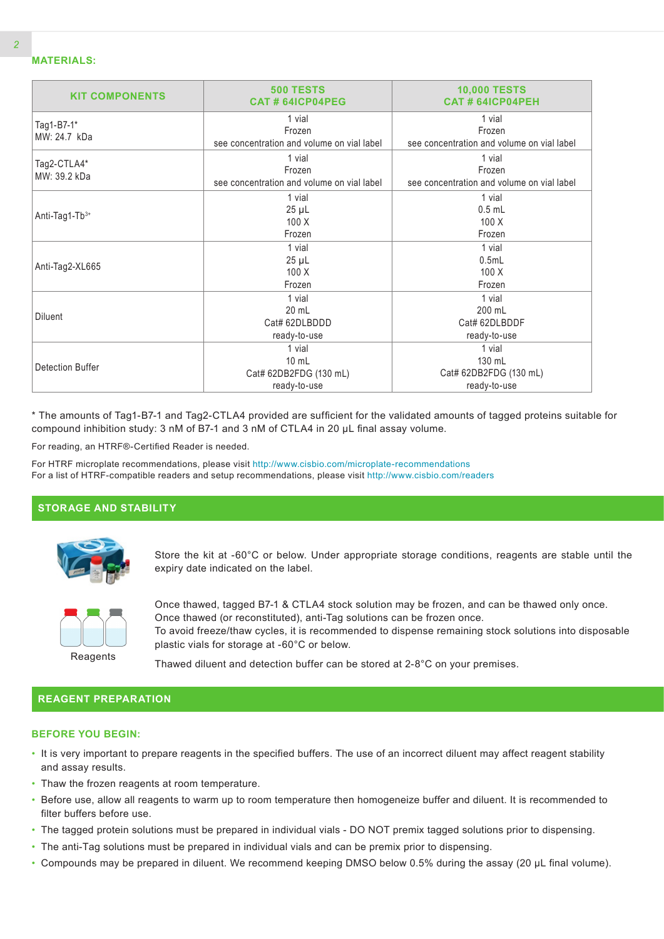| <b>KIT COMPONENTS</b>       | <b>500 TESTS</b><br>CAT#64ICP04PEG                                  | <b>10,000 TESTS</b><br><b>CAT # 64ICP04PEH</b>                 |  |  |
|-----------------------------|---------------------------------------------------------------------|----------------------------------------------------------------|--|--|
| Tag1-B7-1*<br>MW: 24.7 kDa  | 1 vial<br>Frozen<br>see concentration and volume on vial label      | 1 vial<br>Frozen<br>see concentration and volume on vial label |  |  |
| Tag2-CTLA4*<br>MW: 39.2 kDa | 1 vial<br>Frozen<br>see concentration and volume on vial label      | 1 vial<br>Frozen<br>see concentration and volume on vial label |  |  |
| Anti-Tag1-Tb3+              | 1 vial<br>$25 \mu L$<br>100X<br>Frozen                              | 1 vial<br>$0.5$ mL<br>100X<br>Frozen                           |  |  |
| Anti-Tag2-XL665             | 1 vial<br>$25 \mu L$<br>100X<br>Frozen                              | 1 vial<br>0.5mL<br>100X<br>Frozen                              |  |  |
| <b>Diluent</b>              | 1 vial<br>20 mL<br>Cat# 62DLBDDD<br>ready-to-use                    | 1 vial<br>200 mL<br>Cat# 62DLBDDF<br>ready-to-use              |  |  |
| Detection Buffer            | 1 vial<br>$10 \text{ mL}$<br>Cat# 62DB2FDG (130 mL)<br>ready-to-use | 1 vial<br>130 mL<br>Cat# 62DB2FDG (130 mL)<br>ready-to-use     |  |  |

\* The amounts of Tag1-B7-1 and Tag2-CTLA4 provided are sufficient for the validated amounts of tagged proteins suitable for compound inhibition study: 3 nM of B7-1 and 3 nM of CTLA4 in 20 µL final assay volume.

For reading, an HTRF®-Certified Reader is needed.

For HTRF microplate recommendations, please visit http://www.cisbio.com/microplate-recommendations For a list of HTRF-compatible readers and setup recommendations, please visit http://www.cisbio.com/readers

### **STORAGE AND STABILITY**



Store the kit at -60°C or below. Under appropriate storage conditions, reagents are stable until the expiry date indicated on the label.



Once thawed, tagged B7-1 & CTLA4 stock solution may be frozen, and can be thawed only once. Once thawed (or reconstituted), anti-Tag solutions can be frozen once. To avoid freeze/thaw cycles, it is recommended to dispense remaining stock solutions into disposable plastic vials for storage at -60°C or below.

Thawed diluent and detection buffer can be stored at 2-8°C on your premises.

### **REAGENT PREPARATION**

#### **BEFORE YOU BEGIN:**

- It is very important to prepare reagents in the specified buffers. The use of an incorrect diluent may affect reagent stability and assay results.
- Thaw the frozen reagents at room temperature.
- Before use, allow all reagents to warm up to room temperature then homogeneize buffer and diluent. It is recommended to filter buffers before use.
- The tagged protein solutions must be prepared in individual vials DO NOT premix tagged solutions prior to dispensing.
- The anti-Tag solutions must be prepared in individual vials and can be premix prior to dispensing.
- Compounds may be prepared in diluent. We recommend keeping DMSO below 0.5% during the assay (20 µL final volume).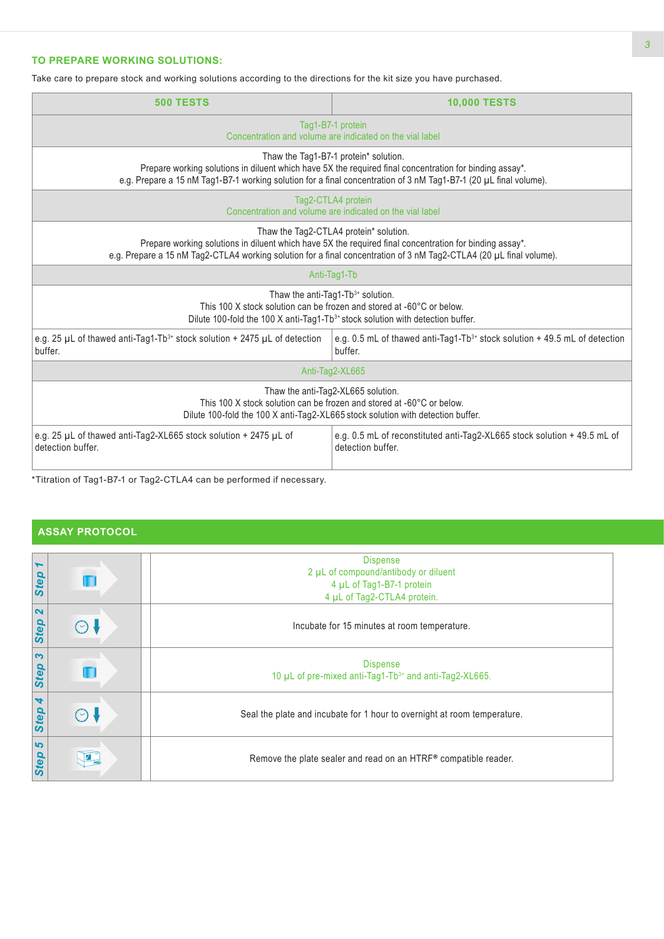### **TO PREPARE WORKING SOLUTIONS:**

Take care to prepare stock and working solutions according to the directions for the kit size you have purchased.

| <b>500 TESTS</b>                                                                                                                                                                                                                                                         | <b>10,000 TESTS</b>                                                                                                                                                                            |  |  |  |
|--------------------------------------------------------------------------------------------------------------------------------------------------------------------------------------------------------------------------------------------------------------------------|------------------------------------------------------------------------------------------------------------------------------------------------------------------------------------------------|--|--|--|
| Tag1-B7-1 protein<br>Concentration and volume are indicated on the vial label                                                                                                                                                                                            |                                                                                                                                                                                                |  |  |  |
| Thaw the Tag1-B7-1 protein* solution.<br>Prepare working solutions in diluent which have 5X the required final concentration for binding assay*.<br>e.g. Prepare a 15 nM Tag1-B7-1 working solution for a final concentration of 3 nM Tag1-B7-1 (20 µL final volume).    |                                                                                                                                                                                                |  |  |  |
| Tag2-CTLA4 protein<br>Concentration and volume are indicated on the vial label                                                                                                                                                                                           |                                                                                                                                                                                                |  |  |  |
| Thaw the Tag2-CTLA4 protein* solution.<br>Prepare working solutions in diluent which have 5X the required final concentration for binding assay*.<br>e.g. Prepare a 15 nM Tag2-CTLA4 working solution for a final concentration of 3 nM Tag2-CTLA4 (20 µL final volume). |                                                                                                                                                                                                |  |  |  |
|                                                                                                                                                                                                                                                                          | Anti-Tag1-Tb                                                                                                                                                                                   |  |  |  |
| Thaw the anti-Tag1-Tb3+ solution.<br>This 100 X stock solution can be frozen and stored at -60°C or below.<br>Dilute 100-fold the 100 X anti-Tag1-Tb <sup>3+</sup> stock solution with detection buffer.                                                                 |                                                                                                                                                                                                |  |  |  |
| e.g. 25 $\mu$ L of thawed anti-Tag1-Tb <sup>3+</sup> stock solution + 2475 $\mu$ L of detection<br>buffer.                                                                                                                                                               | e.g. 0.5 mL of thawed anti-Tag1-Tb <sup>3+</sup> stock solution $+$ 49.5 mL of detection<br>buffer.                                                                                            |  |  |  |
| Anti-Tag2-XL665                                                                                                                                                                                                                                                          |                                                                                                                                                                                                |  |  |  |
|                                                                                                                                                                                                                                                                          | Thaw the anti-Tag2-XL665 solution.<br>This 100 X stock solution can be frozen and stored at -60°C or below.<br>Dilute 100-fold the 100 X anti-Tag2-XL665 stock solution with detection buffer. |  |  |  |
| e.g. 25 µL of thawed anti-Tag2-XL665 stock solution + 2475 µL of<br>detection buffer.                                                                                                                                                                                    | e.g. 0.5 mL of reconstituted anti-Tag2-XL665 stock solution + 49.5 mL of<br>detection buffer.                                                                                                  |  |  |  |
| *Titration of Taa1 P7 1 or Taa2 CTLA4 can be performed if necessary                                                                                                                                                                                                      |                                                                                                                                                                                                |  |  |  |

Titration of Tag1-B7-1 or Tag2-CTLA4 can be performed if necessary.

### **ASSAY PROTOCOL**

| $\blacktriangleright$         |             | <b>Dispense</b>                                                                       |
|-------------------------------|-------------|---------------------------------------------------------------------------------------|
|                               |             | 2 µL of compound/antibody or diluent                                                  |
| Step                          |             | 4 µL of Tag1-B7-1 protein                                                             |
|                               |             | 4 µL of Tag2-CTLA4 protein.                                                           |
| $\mathbf{\Omega}$<br>Step     | $(\cdot)$ \ | Incubate for 15 minutes at room temperature.                                          |
| $\boldsymbol{\omega}$<br>Step |             | <b>Dispense</b><br>10 µL of pre-mixed anti-Tag1-Tb <sup>3+</sup> and anti-Tag2-XL665. |
| Step 4                        | (           | Seal the plate and incubate for 1 hour to overnight at room temperature.              |
| 5<br>Step                     |             | Remove the plate sealer and read on an HTRF® compatible reader.                       |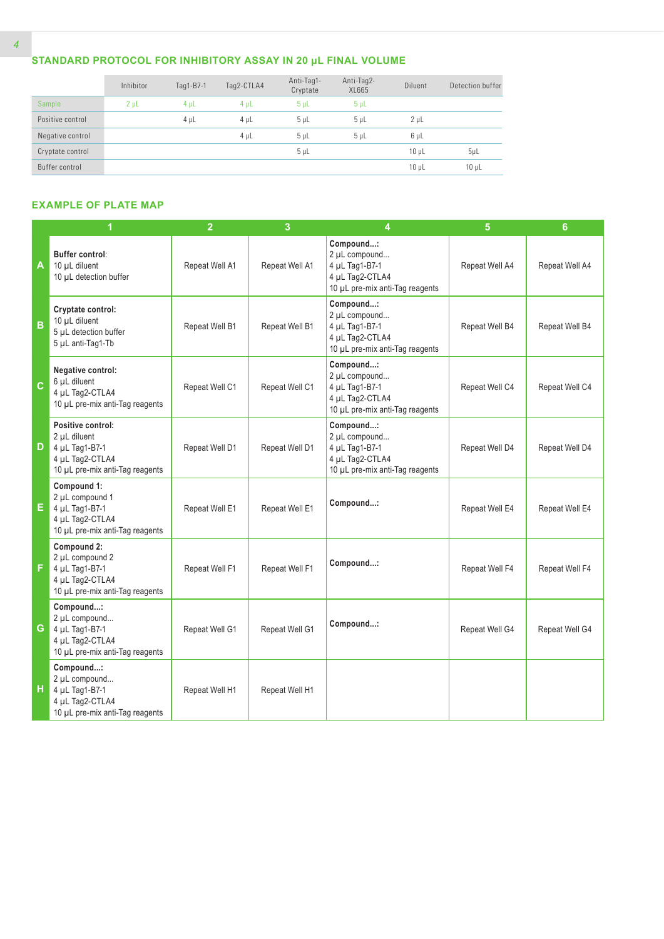### **STANDARD PROTOCOL FOR INHIBITORY ASSAY IN 20 µL FINAL VOLUME**

|                  | Inhibitor      | Tag1-B7-1 | Tag2-CTLA4 | Anti-Tag1-<br>Cryptate | Anti-Tag2-<br>XL665 | Diluent    | Detection buffer |
|------------------|----------------|-----------|------------|------------------------|---------------------|------------|------------------|
| Sample           | 2 <sub>µ</sub> | $4 \mu L$ | $4 \mu L$  | 5 <sub>µ</sub>         | 5 <sub>µ</sub>      |            |                  |
| Positive control |                | $4 \mu L$ | $4 \mu L$  | 5 <sub>µ</sub>         | $5 \mu L$           | $2 \mu L$  |                  |
| Negative control |                |           | $4 \mu L$  | 5 <sub>µ</sub>         | $5 \mu L$           | $6 \mu L$  |                  |
| Cryptate control |                |           |            | 5 <sub>µ</sub>         |                     | $10 \mu L$ | $5\mu$ L         |
| Buffer control   |                |           |            |                        |                     | $10 \mu L$ | $10 \mu L$       |

### **EXAMPLE OF PLATE MAP**

|              |                                                                                                           | $\overline{2}$ | 3              | 4                                                                                                  | 5              | $6\phantom{a}$ |
|--------------|-----------------------------------------------------------------------------------------------------------|----------------|----------------|----------------------------------------------------------------------------------------------------|----------------|----------------|
| A            | Buffer control:<br>10 µL diluent<br>10 µL detection buffer                                                | Repeat Well A1 | Repeat Well A1 | Compound:<br>2 µL compound<br>4 µL Tag1-B7-1<br>4 µL Tag2-CTLA4<br>10 µL pre-mix anti-Tag reagents | Repeat Well A4 | Repeat Well A4 |
| B            | Cryptate control:<br>10 µL diluent<br>5 µL detection buffer<br>5 µL anti-Tag1-Tb                          | Repeat Well B1 | Repeat Well B1 | Compound:<br>2 µL compound<br>4 µL Tag1-B7-1<br>4 µL Tag2-CTLA4<br>10 µL pre-mix anti-Tag reagents | Repeat Well B4 | Repeat Well B4 |
| $\mathbf{C}$ | Negative control:<br>6 µL diluent<br>4 µL Tag2-CTLA4<br>10 µL pre-mix anti-Tag reagents                   | Repeat Well C1 | Repeat Well C1 | Compound:<br>2 µL compound<br>4 µL Tag1-B7-1<br>4 µL Tag2-CTLA4<br>10 µL pre-mix anti-Tag reagents | Repeat Well C4 | Repeat Well C4 |
| D            | Positive control:<br>2 µL diluent<br>4 µL Tag1-B7-1<br>4 µL Tag2-CTLA4<br>10 µL pre-mix anti-Tag reagents | Repeat Well D1 | Repeat Well D1 | Compound:<br>2 µL compound<br>4 µL Tag1-B7-1<br>4 µL Tag2-CTLA4<br>10 µL pre-mix anti-Tag reagents | Repeat Well D4 | Repeat Well D4 |
| Е.           | Compound 1:<br>2 µL compound 1<br>4 µL Tag1-B7-1<br>4 µL Tag2-CTLA4<br>10 µL pre-mix anti-Tag reagents    | Repeat Well E1 | Repeat Well E1 | Compound:                                                                                          | Repeat Well E4 | Repeat Well E4 |
| F            | Compound 2:<br>2 µL compound 2<br>4 µL Tag1-B7-1<br>4 µL Tag2-CTLA4<br>10 µL pre-mix anti-Tag reagents    | Repeat Well F1 | Repeat Well F1 | Compound:                                                                                          | Repeat Well F4 | Repeat Well F4 |
| G            | Compound:<br>2 µL compound<br>4 µL Tag1-B7-1<br>4 µL Tag2-CTLA4<br>10 µL pre-mix anti-Tag reagents        | Repeat Well G1 | Repeat Well G1 | Compound:                                                                                          | Repeat Well G4 | Repeat Well G4 |
| н            | Compound:<br>2 µL compound<br>4 µL Tag1-B7-1<br>4 µL Tag2-CTLA4<br>10 µL pre-mix anti-Tag reagents        | Repeat Well H1 | Repeat Well H1 |                                                                                                    |                |                |